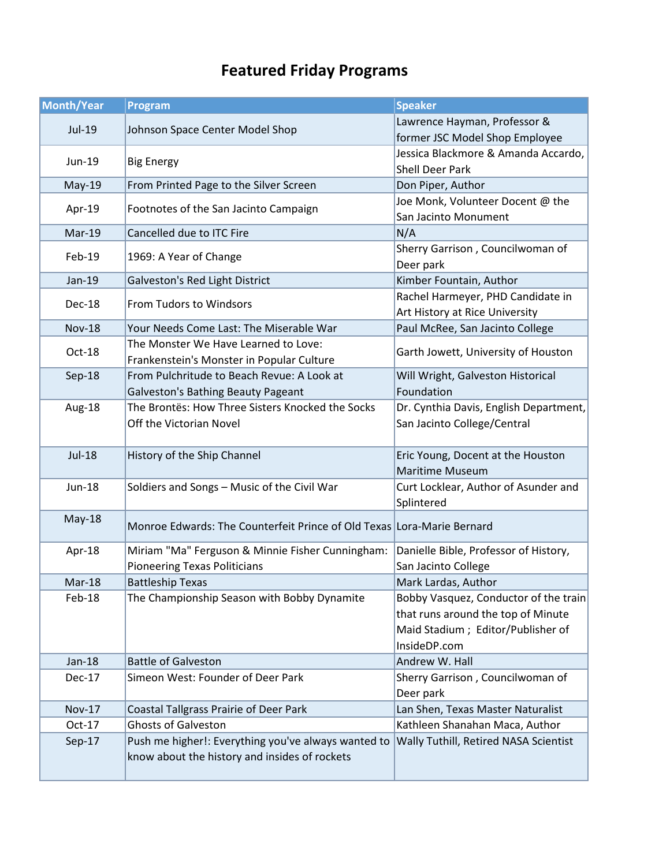## **Featured Friday Programs**

| Month/Year    | Program                                                                | <b>Speaker</b>                               |
|---------------|------------------------------------------------------------------------|----------------------------------------------|
| Jul-19        |                                                                        | Lawrence Hayman, Professor &                 |
|               | Johnson Space Center Model Shop                                        | former JSC Model Shop Employee               |
| $Jun-19$      | <b>Big Energy</b>                                                      | Jessica Blackmore & Amanda Accardo,          |
|               |                                                                        | <b>Shell Deer Park</b>                       |
| May-19        | From Printed Page to the Silver Screen                                 | Don Piper, Author                            |
| Apr-19        | Footnotes of the San Jacinto Campaign                                  | Joe Monk, Volunteer Docent @ the             |
|               |                                                                        | San Jacinto Monument                         |
| Mar-19        | Cancelled due to ITC Fire                                              | N/A                                          |
| Feb-19        | 1969: A Year of Change                                                 | Sherry Garrison, Councilwoman of             |
|               |                                                                        | Deer park                                    |
| Jan-19        | Galveston's Red Light District                                         | Kimber Fountain, Author                      |
| Dec-18        | From Tudors to Windsors                                                | Rachel Harmeyer, PHD Candidate in            |
|               |                                                                        | Art History at Rice University               |
| <b>Nov-18</b> | Your Needs Come Last: The Miserable War                                | Paul McRee, San Jacinto College              |
| Oct-18        | The Monster We Have Learned to Love:                                   | Garth Jowett, University of Houston          |
|               | Frankenstein's Monster in Popular Culture                              |                                              |
| Sep-18        | From Pulchritude to Beach Revue: A Look at                             | Will Wright, Galveston Historical            |
|               | <b>Galveston's Bathing Beauty Pageant</b>                              | Foundation                                   |
| Aug-18        | The Brontës: How Three Sisters Knocked the Socks                       | Dr. Cynthia Davis, English Department,       |
|               | Off the Victorian Novel                                                | San Jacinto College/Central                  |
|               |                                                                        |                                              |
| <b>Jul-18</b> | History of the Ship Channel                                            | Eric Young, Docent at the Houston            |
|               |                                                                        | <b>Maritime Museum</b>                       |
| Jun-18        | Soldiers and Songs - Music of the Civil War                            | Curt Locklear, Author of Asunder and         |
|               |                                                                        | Splintered                                   |
| May-18        | Monroe Edwards: The Counterfeit Prince of Old Texas Lora-Marie Bernard |                                              |
|               |                                                                        |                                              |
| Apr-18        | Miriam "Ma" Ferguson & Minnie Fisher Cunningham:                       | Danielle Bible, Professor of History,        |
|               | <b>Pioneering Texas Politicians</b>                                    | San Jacinto College                          |
| $Mar-18$      | <b>Battleship Texas</b>                                                | Mark Lardas, Author                          |
| Feb-18        | The Championship Season with Bobby Dynamite                            | Bobby Vasquez, Conductor of the train        |
|               |                                                                        | that runs around the top of Minute           |
|               |                                                                        | Maid Stadium ; Editor/Publisher of           |
|               |                                                                        | InsideDP.com                                 |
| $Jan-18$      | <b>Battle of Galveston</b>                                             | Andrew W. Hall                               |
| Dec-17        | Simeon West: Founder of Deer Park                                      | Sherry Garrison, Councilwoman of             |
|               |                                                                        | Deer park                                    |
| <b>Nov-17</b> | Coastal Tallgrass Prairie of Deer Park                                 | Lan Shen, Texas Master Naturalist            |
| $Oct-17$      | <b>Ghosts of Galveston</b>                                             | Kathleen Shanahan Maca, Author               |
| Sep-17        | Push me higher!: Everything you've always wanted to                    | <b>Wally Tuthill, Retired NASA Scientist</b> |
|               | know about the history and insides of rockets                          |                                              |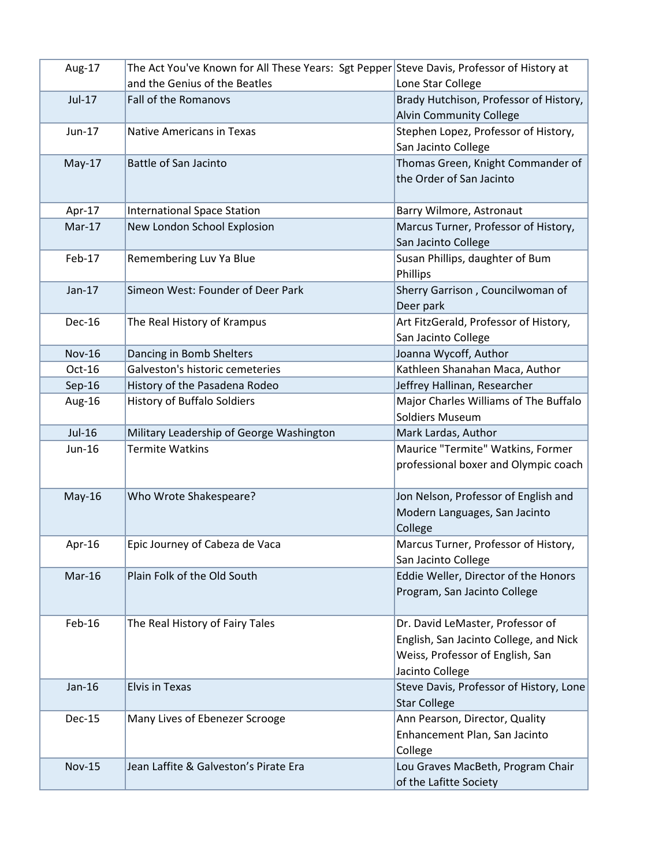| and the Genius of the Beatles<br>Lone Star College<br>Jul-17<br>Fall of the Romanovs<br>Brady Hutchison, Professor of History,<br><b>Alvin Community College</b><br>Stephen Lopez, Professor of History,<br>Jun-17<br><b>Native Americans in Texas</b><br>San Jacinto College<br>$May-17$<br><b>Battle of San Jacinto</b><br>Thomas Green, Knight Commander of<br>the Order of San Jacinto<br>Apr-17<br><b>International Space Station</b><br>Barry Wilmore, Astronaut<br>New London School Explosion<br>Marcus Turner, Professor of History,<br>$Mar-17$<br>San Jacinto College<br>Remembering Luv Ya Blue<br>Susan Phillips, daughter of Bum<br>Feb-17<br>Phillips<br>$Jan-17$<br>Simeon West: Founder of Deer Park<br>Sherry Garrison, Councilwoman of<br>Deer park<br>The Real History of Krampus<br>Art FitzGerald, Professor of History,<br>Dec-16<br>San Jacinto College<br><b>Nov-16</b><br>Dancing in Bomb Shelters<br>Joanna Wycoff, Author<br>Galveston's historic cemeteries<br>Kathleen Shanahan Maca, Author<br>Oct-16<br>History of the Pasadena Rodeo<br>Jeffrey Hallinan, Researcher<br>Sep-16<br><b>History of Buffalo Soldiers</b><br>Major Charles Williams of The Buffalo<br>Aug-16<br><b>Soldiers Museum</b><br>Jul-16<br>Military Leadership of George Washington<br>Mark Lardas, Author<br><b>Termite Watkins</b><br>Maurice "Termite" Watkins, Former<br>Jun-16<br>professional boxer and Olympic coach |
|----------------------------------------------------------------------------------------------------------------------------------------------------------------------------------------------------------------------------------------------------------------------------------------------------------------------------------------------------------------------------------------------------------------------------------------------------------------------------------------------------------------------------------------------------------------------------------------------------------------------------------------------------------------------------------------------------------------------------------------------------------------------------------------------------------------------------------------------------------------------------------------------------------------------------------------------------------------------------------------------------------------------------------------------------------------------------------------------------------------------------------------------------------------------------------------------------------------------------------------------------------------------------------------------------------------------------------------------------------------------------------------------------------------------------------|
|                                                                                                                                                                                                                                                                                                                                                                                                                                                                                                                                                                                                                                                                                                                                                                                                                                                                                                                                                                                                                                                                                                                                                                                                                                                                                                                                                                                                                                  |
|                                                                                                                                                                                                                                                                                                                                                                                                                                                                                                                                                                                                                                                                                                                                                                                                                                                                                                                                                                                                                                                                                                                                                                                                                                                                                                                                                                                                                                  |
|                                                                                                                                                                                                                                                                                                                                                                                                                                                                                                                                                                                                                                                                                                                                                                                                                                                                                                                                                                                                                                                                                                                                                                                                                                                                                                                                                                                                                                  |
|                                                                                                                                                                                                                                                                                                                                                                                                                                                                                                                                                                                                                                                                                                                                                                                                                                                                                                                                                                                                                                                                                                                                                                                                                                                                                                                                                                                                                                  |
|                                                                                                                                                                                                                                                                                                                                                                                                                                                                                                                                                                                                                                                                                                                                                                                                                                                                                                                                                                                                                                                                                                                                                                                                                                                                                                                                                                                                                                  |
|                                                                                                                                                                                                                                                                                                                                                                                                                                                                                                                                                                                                                                                                                                                                                                                                                                                                                                                                                                                                                                                                                                                                                                                                                                                                                                                                                                                                                                  |
|                                                                                                                                                                                                                                                                                                                                                                                                                                                                                                                                                                                                                                                                                                                                                                                                                                                                                                                                                                                                                                                                                                                                                                                                                                                                                                                                                                                                                                  |
|                                                                                                                                                                                                                                                                                                                                                                                                                                                                                                                                                                                                                                                                                                                                                                                                                                                                                                                                                                                                                                                                                                                                                                                                                                                                                                                                                                                                                                  |
|                                                                                                                                                                                                                                                                                                                                                                                                                                                                                                                                                                                                                                                                                                                                                                                                                                                                                                                                                                                                                                                                                                                                                                                                                                                                                                                                                                                                                                  |
|                                                                                                                                                                                                                                                                                                                                                                                                                                                                                                                                                                                                                                                                                                                                                                                                                                                                                                                                                                                                                                                                                                                                                                                                                                                                                                                                                                                                                                  |
|                                                                                                                                                                                                                                                                                                                                                                                                                                                                                                                                                                                                                                                                                                                                                                                                                                                                                                                                                                                                                                                                                                                                                                                                                                                                                                                                                                                                                                  |
|                                                                                                                                                                                                                                                                                                                                                                                                                                                                                                                                                                                                                                                                                                                                                                                                                                                                                                                                                                                                                                                                                                                                                                                                                                                                                                                                                                                                                                  |
|                                                                                                                                                                                                                                                                                                                                                                                                                                                                                                                                                                                                                                                                                                                                                                                                                                                                                                                                                                                                                                                                                                                                                                                                                                                                                                                                                                                                                                  |
|                                                                                                                                                                                                                                                                                                                                                                                                                                                                                                                                                                                                                                                                                                                                                                                                                                                                                                                                                                                                                                                                                                                                                                                                                                                                                                                                                                                                                                  |
|                                                                                                                                                                                                                                                                                                                                                                                                                                                                                                                                                                                                                                                                                                                                                                                                                                                                                                                                                                                                                                                                                                                                                                                                                                                                                                                                                                                                                                  |
|                                                                                                                                                                                                                                                                                                                                                                                                                                                                                                                                                                                                                                                                                                                                                                                                                                                                                                                                                                                                                                                                                                                                                                                                                                                                                                                                                                                                                                  |
|                                                                                                                                                                                                                                                                                                                                                                                                                                                                                                                                                                                                                                                                                                                                                                                                                                                                                                                                                                                                                                                                                                                                                                                                                                                                                                                                                                                                                                  |
|                                                                                                                                                                                                                                                                                                                                                                                                                                                                                                                                                                                                                                                                                                                                                                                                                                                                                                                                                                                                                                                                                                                                                                                                                                                                                                                                                                                                                                  |
|                                                                                                                                                                                                                                                                                                                                                                                                                                                                                                                                                                                                                                                                                                                                                                                                                                                                                                                                                                                                                                                                                                                                                                                                                                                                                                                                                                                                                                  |
|                                                                                                                                                                                                                                                                                                                                                                                                                                                                                                                                                                                                                                                                                                                                                                                                                                                                                                                                                                                                                                                                                                                                                                                                                                                                                                                                                                                                                                  |
|                                                                                                                                                                                                                                                                                                                                                                                                                                                                                                                                                                                                                                                                                                                                                                                                                                                                                                                                                                                                                                                                                                                                                                                                                                                                                                                                                                                                                                  |
|                                                                                                                                                                                                                                                                                                                                                                                                                                                                                                                                                                                                                                                                                                                                                                                                                                                                                                                                                                                                                                                                                                                                                                                                                                                                                                                                                                                                                                  |
|                                                                                                                                                                                                                                                                                                                                                                                                                                                                                                                                                                                                                                                                                                                                                                                                                                                                                                                                                                                                                                                                                                                                                                                                                                                                                                                                                                                                                                  |
|                                                                                                                                                                                                                                                                                                                                                                                                                                                                                                                                                                                                                                                                                                                                                                                                                                                                                                                                                                                                                                                                                                                                                                                                                                                                                                                                                                                                                                  |
|                                                                                                                                                                                                                                                                                                                                                                                                                                                                                                                                                                                                                                                                                                                                                                                                                                                                                                                                                                                                                                                                                                                                                                                                                                                                                                                                                                                                                                  |
|                                                                                                                                                                                                                                                                                                                                                                                                                                                                                                                                                                                                                                                                                                                                                                                                                                                                                                                                                                                                                                                                                                                                                                                                                                                                                                                                                                                                                                  |
| Jon Nelson, Professor of English and<br>$May-16$<br>Who Wrote Shakespeare?                                                                                                                                                                                                                                                                                                                                                                                                                                                                                                                                                                                                                                                                                                                                                                                                                                                                                                                                                                                                                                                                                                                                                                                                                                                                                                                                                       |
| Modern Languages, San Jacinto                                                                                                                                                                                                                                                                                                                                                                                                                                                                                                                                                                                                                                                                                                                                                                                                                                                                                                                                                                                                                                                                                                                                                                                                                                                                                                                                                                                                    |
| College                                                                                                                                                                                                                                                                                                                                                                                                                                                                                                                                                                                                                                                                                                                                                                                                                                                                                                                                                                                                                                                                                                                                                                                                                                                                                                                                                                                                                          |
| Epic Journey of Cabeza de Vaca<br>Marcus Turner, Professor of History,<br>Apr-16                                                                                                                                                                                                                                                                                                                                                                                                                                                                                                                                                                                                                                                                                                                                                                                                                                                                                                                                                                                                                                                                                                                                                                                                                                                                                                                                                 |
| San Jacinto College                                                                                                                                                                                                                                                                                                                                                                                                                                                                                                                                                                                                                                                                                                                                                                                                                                                                                                                                                                                                                                                                                                                                                                                                                                                                                                                                                                                                              |
| Eddie Weller, Director of the Honors<br>Mar-16<br>Plain Folk of the Old South                                                                                                                                                                                                                                                                                                                                                                                                                                                                                                                                                                                                                                                                                                                                                                                                                                                                                                                                                                                                                                                                                                                                                                                                                                                                                                                                                    |
| Program, San Jacinto College                                                                                                                                                                                                                                                                                                                                                                                                                                                                                                                                                                                                                                                                                                                                                                                                                                                                                                                                                                                                                                                                                                                                                                                                                                                                                                                                                                                                     |
|                                                                                                                                                                                                                                                                                                                                                                                                                                                                                                                                                                                                                                                                                                                                                                                                                                                                                                                                                                                                                                                                                                                                                                                                                                                                                                                                                                                                                                  |
| Feb-16<br>The Real History of Fairy Tales<br>Dr. David LeMaster, Professor of                                                                                                                                                                                                                                                                                                                                                                                                                                                                                                                                                                                                                                                                                                                                                                                                                                                                                                                                                                                                                                                                                                                                                                                                                                                                                                                                                    |
| English, San Jacinto College, and Nick                                                                                                                                                                                                                                                                                                                                                                                                                                                                                                                                                                                                                                                                                                                                                                                                                                                                                                                                                                                                                                                                                                                                                                                                                                                                                                                                                                                           |
| Weiss, Professor of English, San                                                                                                                                                                                                                                                                                                                                                                                                                                                                                                                                                                                                                                                                                                                                                                                                                                                                                                                                                                                                                                                                                                                                                                                                                                                                                                                                                                                                 |
| Jacinto College                                                                                                                                                                                                                                                                                                                                                                                                                                                                                                                                                                                                                                                                                                                                                                                                                                                                                                                                                                                                                                                                                                                                                                                                                                                                                                                                                                                                                  |
| <b>Elvis in Texas</b><br>Steve Davis, Professor of History, Lone<br>Jan-16                                                                                                                                                                                                                                                                                                                                                                                                                                                                                                                                                                                                                                                                                                                                                                                                                                                                                                                                                                                                                                                                                                                                                                                                                                                                                                                                                       |
| <b>Star College</b>                                                                                                                                                                                                                                                                                                                                                                                                                                                                                                                                                                                                                                                                                                                                                                                                                                                                                                                                                                                                                                                                                                                                                                                                                                                                                                                                                                                                              |
| Ann Pearson, Director, Quality<br>Many Lives of Ebenezer Scrooge<br>Dec-15                                                                                                                                                                                                                                                                                                                                                                                                                                                                                                                                                                                                                                                                                                                                                                                                                                                                                                                                                                                                                                                                                                                                                                                                                                                                                                                                                       |
| Enhancement Plan, San Jacinto                                                                                                                                                                                                                                                                                                                                                                                                                                                                                                                                                                                                                                                                                                                                                                                                                                                                                                                                                                                                                                                                                                                                                                                                                                                                                                                                                                                                    |
| College                                                                                                                                                                                                                                                                                                                                                                                                                                                                                                                                                                                                                                                                                                                                                                                                                                                                                                                                                                                                                                                                                                                                                                                                                                                                                                                                                                                                                          |
| <b>Nov-15</b><br>Jean Laffite & Galveston's Pirate Era<br>Lou Graves MacBeth, Program Chair                                                                                                                                                                                                                                                                                                                                                                                                                                                                                                                                                                                                                                                                                                                                                                                                                                                                                                                                                                                                                                                                                                                                                                                                                                                                                                                                      |
| of the Lafitte Society                                                                                                                                                                                                                                                                                                                                                                                                                                                                                                                                                                                                                                                                                                                                                                                                                                                                                                                                                                                                                                                                                                                                                                                                                                                                                                                                                                                                           |